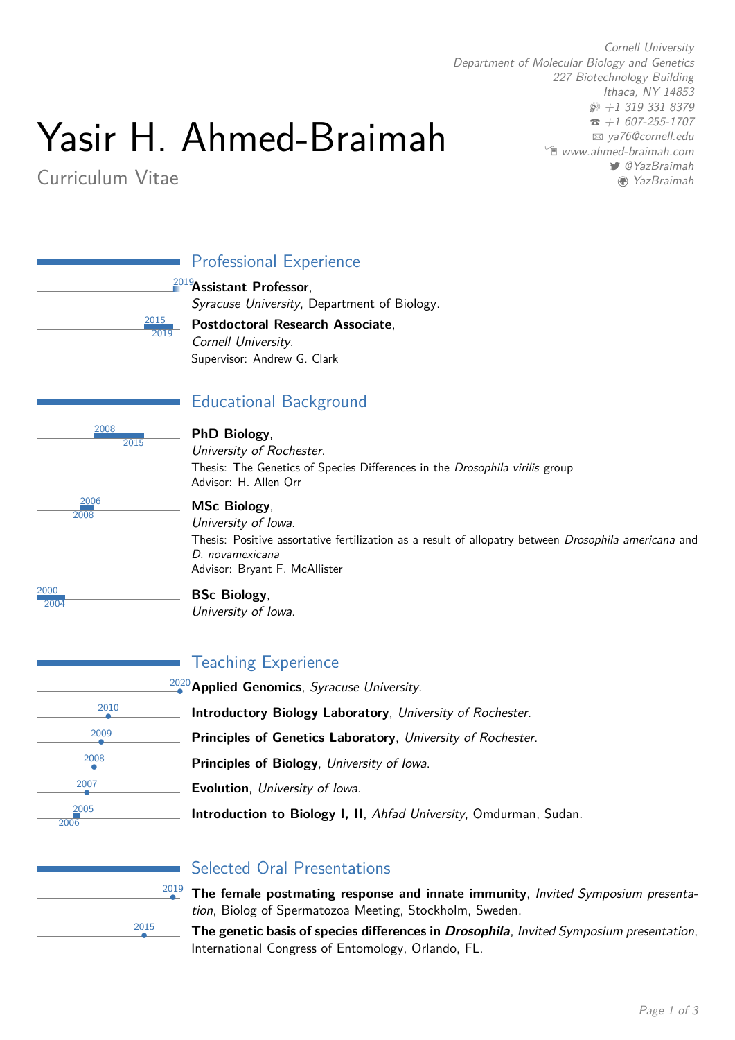# Yasir H. Ahmed-Braimah

# Curriculum Vitae

*Cornell University Department of Molecular Biology and Genetics 227 Biotechnology Building Ithaca, NY 14853 +1 319 331 8379 +1 607-255-1707 [ya76@cornell.edu](mailto:ya76@cornell.edu) [www.ahmed-braimah.com](http://www.ahmed-braimah.com) [@YazBraimah](http://www.twitter.com/@YazBraimah) [YazBraimah](http://www.github.com/YazBraimah)*

|                       | <b>Professional Experience</b>                                                                                                                                                                         |
|-----------------------|--------------------------------------------------------------------------------------------------------------------------------------------------------------------------------------------------------|
| <u> 2015 </u><br>2019 | <sup>2019</sup> Assistant Professor,<br>Syracuse University, Department of Biology.<br>Postdoctoral Research Associate,<br>Cornell University.<br>Supervisor: Andrew G. Clark                          |
|                       | <b>Educational Background</b>                                                                                                                                                                          |
| 2008<br>2015          | PhD Biology,<br>University of Rochester.<br>Thesis: The Genetics of Species Differences in the Drosophila virilis group<br>Advisor: H. Allen Orr                                                       |
| 2006<br>2008          | <b>MSc Biology,</b><br>University of Iowa.<br>Thesis: Positive assortative fertilization as a result of allopatry between Drosophila americana and<br>D. novamexicana<br>Advisor: Bryant F. McAllister |
| 2000<br>2004          | <b>BSc Biology,</b><br>University of Iowa.                                                                                                                                                             |
|                       | <b>Teaching Experience</b>                                                                                                                                                                             |
|                       | $\frac{2020}{2}$ Applied Genomics, Syracuse University.                                                                                                                                                |
| 2010                  | Introductory Biology Laboratory, University of Rochester.                                                                                                                                              |
| 2009                  | Principles of Genetics Laboratory, University of Rochester.                                                                                                                                            |
| 2008                  | Principles of Biology, University of Iowa.                                                                                                                                                             |
| 2007                  | Evolution, University of Iowa.                                                                                                                                                                         |
| 2005<br>2006          | Introduction to Biology I, II, Ahfad University, Omdurman, Sudan.                                                                                                                                      |



## Selected Oral Presentations

- *•* **The female postmating response and innate immunity**, *Invited Symposium presentation*, Biolog of Spermatozoa Meeting, Stockholm, Sweden.
- *•* **The genetic basis of species differences in** *Drosophila*, *Invited Symposium presentation*, International Congress of Entomology, Orlando, FL.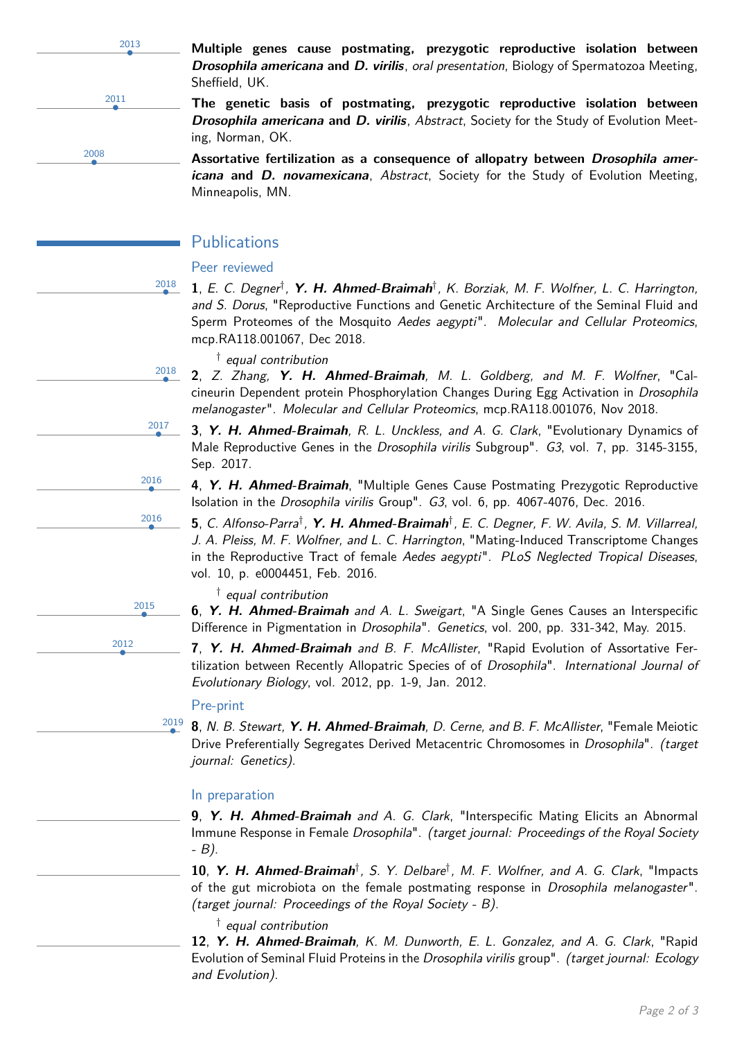2013 2011 2008

*•* **Multiple genes cause postmating, prezygotic reproductive isolation between** *Drosophila americana* **and** *D. virilis*, *oral presentation*, Biology of Spermatozoa Meeting, Sheffield, UK.

*•* **The genetic basis of postmating, prezygotic reproductive isolation between** *Drosophila americana* **and** *D. virilis*, *Abstract*, Society for the Study of Evolution Meeting, Norman, OK.

*•* **Assortative fertilization as <sup>a</sup> consequence of allopatry between** *Drosophila americana* **and** *D. novamexicana*, *Abstract*, Society for the Study of Evolution Meeting, Minneapolis, MN.

## Publications

#### Peer reviewed

2018

2018

2017

2016

2016

2015

2012

**1.** E. C. Degner<sup>t</sup>, **Y. H. Ahmed-Braimah**<sup>†</sup>, K. Borziak, M. F. Wolfner, L. C. Harrington, *and S. Dorus*, "Reproductive Functions and Genetic Architecture of the Seminal Fluid and Sperm Proteomes of the Mosquito *Aedes aegypti*". *Molecular and Cellular Proteomics*, mcp.RA118.001067, Dec 2018.

- *† equal contribution*
- *•* **<sup>2</sup>**, *Z. Zhang, Y. H. Ahmed-Braimah, M. L. Goldberg, and M. F. Wolfner*, "Calcineurin Dependent protein Phosphorylation Changes During Egg Activation in *Drosophila melanogaster* ". *Molecular and Cellular Proteomics*, mcp.RA118.001076, Nov 2018.
- *•* **<sup>3</sup>**, *Y. H. Ahmed-Braimah, R. L. Unckless, and A. G. Clark*, "Evolutionary Dynamics of Male Reproductive Genes in the *Drosophila virilis* Subgroup". *G3*, vol. 7, pp. 3145-3155, Sep. 2017.
- *•* **<sup>4</sup>**, *Y. H. Ahmed-Braimah*, "Multiple Genes Cause Postmating Prezygotic Reproductive Isolation in the *Drosophila virilis* Group". *G3*, vol. 6, pp. 4067-4076, Dec. 2016.
- 5, C. Alfonso-Parra<sup>†</sup>, Y. H. Ahmed-Braimah<sup>†</sup>, E. C. Degner, F. W. Avila, S. M. Villarreal, *J. A. Pleiss, M. F. Wolfner, and L. C. Harrington*, "Mating-Induced Transcriptome Changes in the Reproductive Tract of female *Aedes aegypti*". *PLoS Neglected Tropical Diseases*, vol. 10, p. e0004451, Feb. 2016.
	- *† equal contribution*
- *•* **<sup>6</sup>**, *Y. H. Ahmed-Braimah and A. L. Sweigart*, "A Single Genes Causes an Interspecific Difference in Pigmentation in *Drosophila*". *Genetics*, vol. 200, pp. 331-342, May. 2015.
- *•* **<sup>7</sup>**, *Y. H. Ahmed-Braimah and B. F. McAllister*, "Rapid Evolution of Assortative Fertilization between Recently Allopatric Species of of *Drosophila*". *International Journal of Evolutionary Biology*, vol. 2012, pp. 1-9, Jan. 2012.

#### Pre-print

2019 *•* **<sup>8</sup>**, *N. B. Stewart, Y. H. Ahmed-Braimah, D. Cerne, and B. F. McAllister*, "Female Meiotic Drive Preferentially Segregates Derived Metacentric Chromosomes in *Drosophila*". *(target journal: Genetics)*.

#### In preparation

*•* **<sup>9</sup>**, *Y. H. Ahmed-Braimah and A. G. Clark*, "Interspecific Mating Elicits an Abnormal Immune Response in Female *Drosophila*". *(target journal: Proceedings of the Royal Society - B)*.

*•* **<sup>10</sup>**, *Y. H. Ahmed-Braimah†, S. Y. Delbare†, M. F. Wolfner, and A. G. Clark*, "Impacts of the gut microbiota on the female postmating response in *Drosophila melanogaster* ". *(target journal: Proceedings of the Royal Society - B)*.

*† equal contribution*

*•* **<sup>12</sup>**, *Y. H. Ahmed-Braimah, K. M. Dunworth, E. L. Gonzalez, and A. G. Clark*, "Rapid Evolution of Seminal Fluid Proteins in the *Drosophila virilis* group". *(target journal: Ecology and Evolution)*.